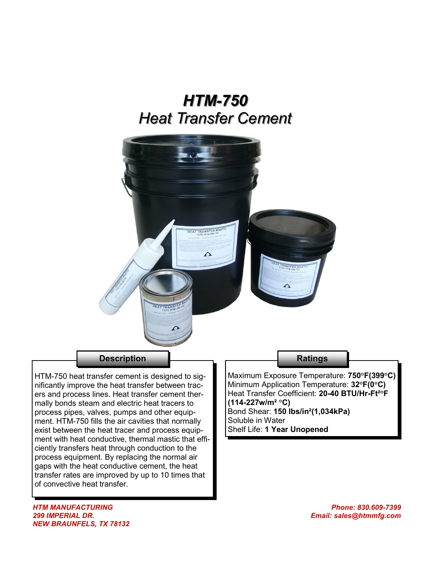# *HTM-750 Heat Transfer Cement*



## **Description**

HTM-750 heat transfer cement is designed to significantly improve the heat transfer between tracers and process lines. Heat transfer cement thermally bonds steam and electric heat tracers to process pipes, valves, pumps and other equipment. HTM-750 fills the air cavities that normally exist between the heat tracer and process equipment with heat conductive, thermal mastic that efficiently transfers heat through conduction to the process equipment. By replacing the normal air gaps with the heat conductive cement, the heat transfer rates are improved by up to 10 times that of convective heat transfer.

### **Ratings**

Maximum Exposure Temperature: **750°F(399°C)** Minimum Application Temperature: **32°F(0°C)** Heat Transfer Coefficient: **20-40 BTU/Hr-Ft²°F (114-227w/m² °C)** Bond Shear: **150 lbs/in²(1,034kPa)** Soluble in Water Shelf Life: **1 Year Unopened**

*HTM MANUFACTURING 299 IMPERIAL DR. NEW BRAUNFELS, TX 78132*

*Phone: 830.609-7399 Email: sales@htmmfg.com*